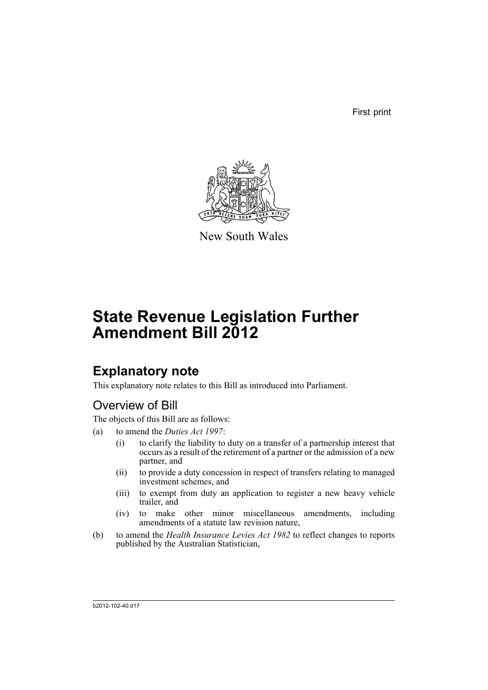First print



New South Wales

# **State Revenue Legislation Further Amendment Bill 2012**

## **Explanatory note**

This explanatory note relates to this Bill as introduced into Parliament.

## Overview of Bill

The objects of this Bill are as follows:

- (a) to amend the *Duties Act 1997*:
	- (i) to clarify the liability to duty on a transfer of a partnership interest that occurs as a result of the retirement of a partner or the admission of a new partner, and
	- (ii) to provide a duty concession in respect of transfers relating to managed investment schemes, and
	- (iii) to exempt from duty an application to register a new heavy vehicle trailer, and
	- (iv) to make other minor miscellaneous amendments, including amendments of a statute law revision nature,
- (b) to amend the *Health Insurance Levies Act 1982* to reflect changes to reports published by the Australian Statistician,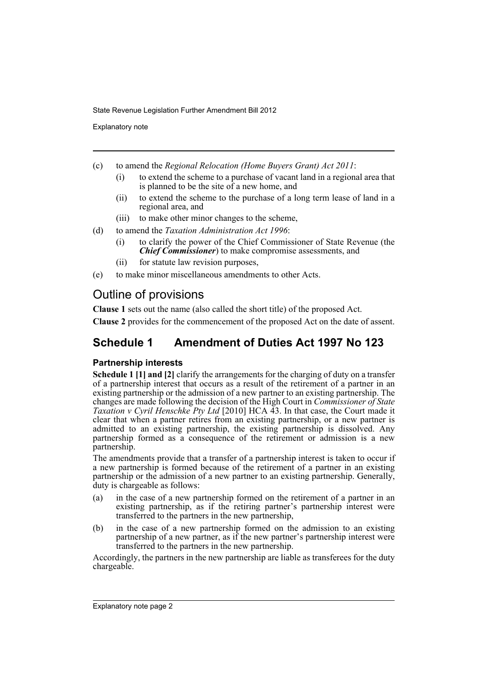Explanatory note

- (c) to amend the *Regional Relocation (Home Buyers Grant) Act 2011*:
	- (i) to extend the scheme to a purchase of vacant land in a regional area that is planned to be the site of a new home, and
	- (ii) to extend the scheme to the purchase of a long term lease of land in a regional area, and
	- (iii) to make other minor changes to the scheme,
- (d) to amend the *Taxation Administration Act 1996*:
	- (i) to clarify the power of the Chief Commissioner of State Revenue (the *Chief Commissioner*) to make compromise assessments, and
	- (ii) for statute law revision purposes,
- (e) to make minor miscellaneous amendments to other Acts.

## Outline of provisions

**Clause 1** sets out the name (also called the short title) of the proposed Act.

**Clause 2** provides for the commencement of the proposed Act on the date of assent.

## **Schedule 1 Amendment of Duties Act 1997 No 123**

## **Partnership interests**

**Schedule 1 [1] and [2]** clarify the arrangements for the charging of duty on a transfer of a partnership interest that occurs as a result of the retirement of a partner in an existing partnership or the admission of a new partner to an existing partnership. The changes are made following the decision of the High Court in *Commissioner of State Taxation v Cyril Henschke Pty Ltd* [2010] HCA 43. In that case, the Court made it clear that when a partner retires from an existing partnership, or a new partner is admitted to an existing partnership, the existing partnership is dissolved. Any partnership formed as a consequence of the retirement or admission is a new partnership.

The amendments provide that a transfer of a partnership interest is taken to occur if a new partnership is formed because of the retirement of a partner in an existing partnership or the admission of a new partner to an existing partnership. Generally, duty is chargeable as follows:

- (a) in the case of a new partnership formed on the retirement of a partner in an existing partnership, as if the retiring partner's partnership interest were transferred to the partners in the new partnership,
- (b) in the case of a new partnership formed on the admission to an existing partnership of a new partner, as if the new partner's partnership interest were transferred to the partners in the new partnership.

Accordingly, the partners in the new partnership are liable as transferees for the duty chargeable.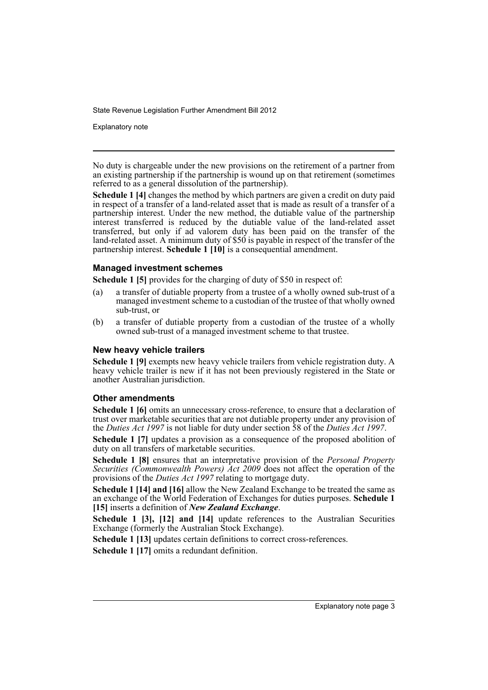Explanatory note

No duty is chargeable under the new provisions on the retirement of a partner from an existing partnership if the partnership is wound up on that retirement (sometimes referred to as a general dissolution of the partnership).

**Schedule 1 [4]** changes the method by which partners are given a credit on duty paid in respect of a transfer of a land-related asset that is made as result of a transfer of a partnership interest. Under the new method, the dutiable value of the partnership interest transferred is reduced by the dutiable value of the land-related asset transferred, but only if ad valorem duty has been paid on the transfer of the land-related asset. A minimum duty of \$50 is payable in respect of the transfer of the partnership interest. **Schedule 1 [10]** is a consequential amendment.

### **Managed investment schemes**

**Schedule 1 [5]** provides for the charging of duty of \$50 in respect of:

- (a) a transfer of dutiable property from a trustee of a wholly owned sub-trust of a managed investment scheme to a custodian of the trustee of that wholly owned sub-trust, or
- (b) a transfer of dutiable property from a custodian of the trustee of a wholly owned sub-trust of a managed investment scheme to that trustee.

### **New heavy vehicle trailers**

**Schedule 1 [9]** exempts new heavy vehicle trailers from vehicle registration duty. A heavy vehicle trailer is new if it has not been previously registered in the State or another Australian jurisdiction.

### **Other amendments**

**Schedule 1 [6]** omits an unnecessary cross-reference, to ensure that a declaration of trust over marketable securities that are not dutiable property under any provision of the *Duties Act 1997* is not liable for duty under section 58 of the *Duties Act 1997*.

**Schedule 1 [7]** updates a provision as a consequence of the proposed abolition of duty on all transfers of marketable securities.

**Schedule 1 [8]** ensures that an interpretative provision of the *Personal Property Securities (Commonwealth Powers) Act 2009* does not affect the operation of the provisions of the *Duties Act 1997* relating to mortgage duty.

**Schedule 1 [14] and [16]** allow the New Zealand Exchange to be treated the same as an exchange of the World Federation of Exchanges for duties purposes. **Schedule 1 [15]** inserts a definition of *New Zealand Exchange*.

**Schedule 1 [3], [12] and [14]** update references to the Australian Securities Exchange (formerly the Australian Stock Exchange).

**Schedule 1 [13]** updates certain definitions to correct cross-references.

**Schedule 1 [17]** omits a redundant definition.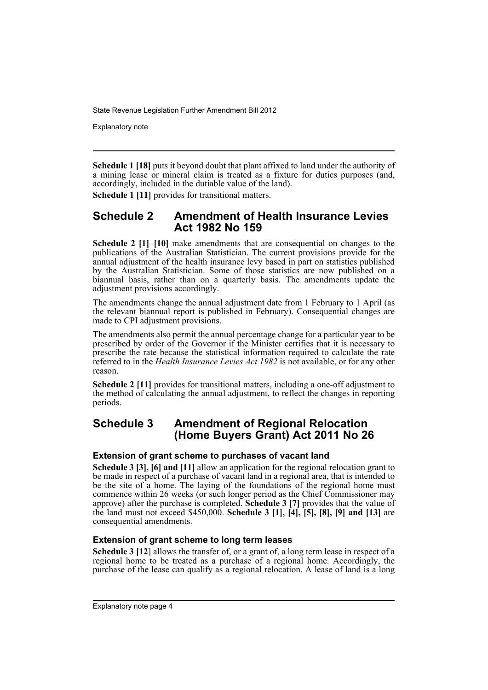Explanatory note

**Schedule 1 [18]** puts it beyond doubt that plant affixed to land under the authority of a mining lease or mineral claim is treated as a fixture for duties purposes (and, accordingly, included in the dutiable value of the land).

**Schedule 1 [11]** provides for transitional matters.

## **Schedule 2 Amendment of Health Insurance Levies Act 1982 No 159**

**Schedule 2 [1]–[10]** make amendments that are consequential on changes to the publications of the Australian Statistician. The current provisions provide for the annual adjustment of the health insurance levy based in part on statistics published by the Australian Statistician. Some of those statistics are now published on a biannual basis, rather than on a quarterly basis. The amendments update the adjustment provisions accordingly.

The amendments change the annual adjustment date from 1 February to 1 April (as the relevant biannual report is published in February). Consequential changes are made to CPI adjustment provisions.

The amendments also permit the annual percentage change for a particular year to be prescribed by order of the Governor if the Minister certifies that it is necessary to prescribe the rate because the statistical information required to calculate the rate referred to in the *Health Insurance Levies Act 1982* is not available, or for any other reason.

**Schedule 2 [11]** provides for transitional matters, including a one-off adjustment to the method of calculating the annual adjustment, to reflect the changes in reporting periods.

## **Schedule 3 Amendment of Regional Relocation (Home Buyers Grant) Act 2011 No 26**

## **Extension of grant scheme to purchases of vacant land**

**Schedule 3 [3], [6] and [11]** allow an application for the regional relocation grant to be made in respect of a purchase of vacant land in a regional area, that is intended to be the site of a home. The laying of the foundations of the regional home must commence within 26 weeks (or such longer period as the Chief Commissioner may approve) after the purchase is completed. **Schedule 3 [7]** provides that the value of the land must not exceed \$450,000. **Schedule 3 [1], [4], [5], [8], [9] and [13]** are consequential amendments.

### **Extension of grant scheme to long term leases**

**Schedule 3 [12**] allows the transfer of, or a grant of, a long term lease in respect of a regional home to be treated as a purchase of a regional home. Accordingly, the purchase of the lease can qualify as a regional relocation. A lease of land is a long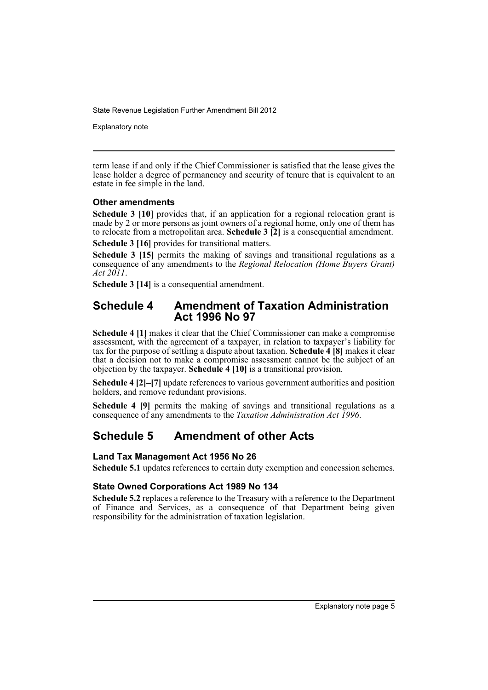Explanatory note

term lease if and only if the Chief Commissioner is satisfied that the lease gives the lease holder a degree of permanency and security of tenure that is equivalent to an estate in fee simple in the land.

### **Other amendments**

**Schedule 3 [10]** provides that, if an application for a regional relocation grant is made by 2 or more persons as joint owners of a regional home, only one of them has to relocate from a metropolitan area. **Schedule 3 [2]** is a consequential amendment. **Schedule 3 [16]** provides for transitional matters.

**Schedule 3 [15]** permits the making of savings and transitional regulations as a consequence of any amendments to the *Regional Relocation (Home Buyers Grant) Act 2011*.

**Schedule 3 [14]** is a consequential amendment.

## **Schedule 4 Amendment of Taxation Administration Act 1996 No 97**

**Schedule 4 [1]** makes it clear that the Chief Commissioner can make a compromise assessment, with the agreement of a taxpayer, in relation to taxpayer's liability for tax for the purpose of settling a dispute about taxation. **Schedule 4 [8]** makes it clear that a decision not to make a compromise assessment cannot be the subject of an objection by the taxpayer. **Schedule 4 [10]** is a transitional provision.

**Schedule 4 [2]–[7]** update references to various government authorities and position holders, and remove redundant provisions.

**Schedule 4 [9]** permits the making of savings and transitional regulations as a consequence of any amendments to the *Taxation Administration Act 1996*.

## **Schedule 5 Amendment of other Acts**

### **Land Tax Management Act 1956 No 26**

**Schedule 5.1** updates references to certain duty exemption and concession schemes.

## **State Owned Corporations Act 1989 No 134**

**Schedule 5.2** replaces a reference to the Treasury with a reference to the Department of Finance and Services, as a consequence of that Department being given responsibility for the administration of taxation legislation.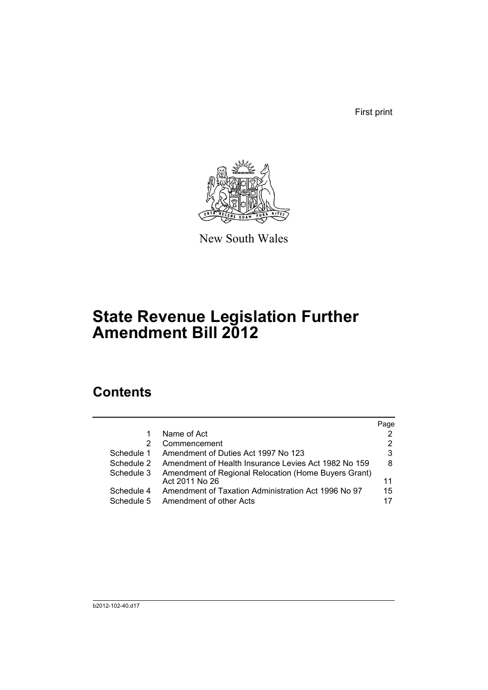First print



New South Wales

# **State Revenue Legislation Further Amendment Bill 2012**

## **Contents**

|                          |                                                                                | Page     |
|--------------------------|--------------------------------------------------------------------------------|----------|
|                          | Name of Act                                                                    | 2        |
| 2                        | Commencement                                                                   | 2        |
| Schedule 1               | Amendment of Duties Act 1997 No 123                                            | 3        |
| Schedule 2               | Amendment of Health Insurance Levies Act 1982 No 159                           | 8        |
| Schedule 3               | Amendment of Regional Relocation (Home Buyers Grant)<br>Act 2011 No 26         | 11       |
| Schedule 4<br>Schedule 5 | Amendment of Taxation Administration Act 1996 No 97<br>Amendment of other Acts | 15<br>17 |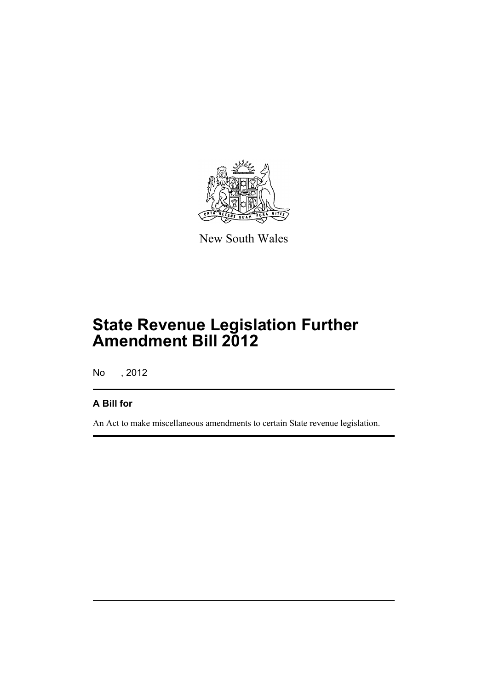

New South Wales

# **State Revenue Legislation Further Amendment Bill 2012**

No , 2012

## **A Bill for**

An Act to make miscellaneous amendments to certain State revenue legislation.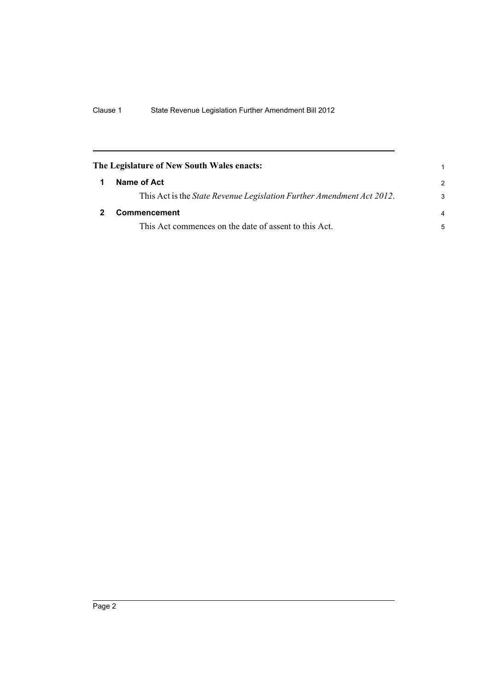<span id="page-9-1"></span><span id="page-9-0"></span>

| The Legislature of New South Wales enacts:                                    | 1             |
|-------------------------------------------------------------------------------|---------------|
| Name of Act                                                                   | $\mathcal{P}$ |
| This Act is the <i>State Revenue Legislation Further Amendment Act 2012</i> . | 3             |
| <b>Commencement</b>                                                           | 4             |
| This Act commences on the date of assent to this Act.                         | 5             |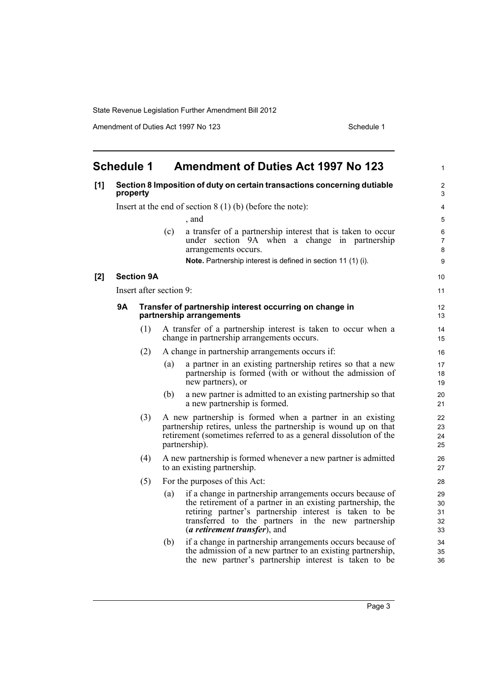Amendment of Duties Act 1997 No 123 Schedule 1

<span id="page-10-0"></span>

|     | <b>Schedule 1</b>                                                                    |                         |     | <b>Amendment of Duties Act 1997 No 123</b>                                                                                                                                                                                                                                        | $\mathbf{1}$               |  |
|-----|--------------------------------------------------------------------------------------|-------------------------|-----|-----------------------------------------------------------------------------------------------------------------------------------------------------------------------------------------------------------------------------------------------------------------------------------|----------------------------|--|
| [1] | Section 8 Imposition of duty on certain transactions concerning dutiable<br>property |                         |     |                                                                                                                                                                                                                                                                                   |                            |  |
|     |                                                                                      |                         |     | Insert at the end of section $8(1)$ (b) (before the note):                                                                                                                                                                                                                        | 4                          |  |
|     |                                                                                      |                         |     | , and                                                                                                                                                                                                                                                                             | 5                          |  |
|     |                                                                                      |                         | (c) | a transfer of a partnership interest that is taken to occur<br>under section 9A when a change in partnership<br>arrangements occurs.                                                                                                                                              | 6<br>$\overline{7}$<br>8   |  |
|     |                                                                                      |                         |     | Note. Partnership interest is defined in section 11 (1) (i).                                                                                                                                                                                                                      | 9                          |  |
| [2] |                                                                                      | <b>Section 9A</b>       |     |                                                                                                                                                                                                                                                                                   | 10                         |  |
|     |                                                                                      | Insert after section 9: |     |                                                                                                                                                                                                                                                                                   | 11                         |  |
|     | 9Α                                                                                   |                         |     | Transfer of partnership interest occurring on change in<br>partnership arrangements                                                                                                                                                                                               | 12<br>13                   |  |
|     |                                                                                      | (1)                     |     | A transfer of a partnership interest is taken to occur when a<br>change in partnership arrangements occurs.                                                                                                                                                                       | 14<br>15                   |  |
|     |                                                                                      | (2)                     |     | A change in partnership arrangements occurs if:                                                                                                                                                                                                                                   | 16                         |  |
|     |                                                                                      |                         | (a) | a partner in an existing partnership retires so that a new<br>partnership is formed (with or without the admission of<br>new partners), or                                                                                                                                        | 17<br>18<br>19             |  |
|     |                                                                                      |                         | (b) | a new partner is admitted to an existing partnership so that<br>a new partnership is formed.                                                                                                                                                                                      | 20<br>21                   |  |
|     |                                                                                      | (3)                     |     | A new partnership is formed when a partner in an existing<br>partnership retires, unless the partnership is wound up on that<br>retirement (sometimes referred to as a general dissolution of the<br>partnership).                                                                | 22<br>23<br>24<br>25       |  |
|     |                                                                                      | (4)                     |     | A new partnership is formed whenever a new partner is admitted<br>to an existing partnership.                                                                                                                                                                                     | 26<br>27                   |  |
|     | (5)                                                                                  |                         |     | For the purposes of this Act:                                                                                                                                                                                                                                                     | 28                         |  |
|     |                                                                                      |                         | (a) | if a change in partnership arrangements occurs because of<br>the retirement of a partner in an existing partnership, the<br>retiring partner's partnership interest is taken to be<br>transferred to the partners in the new partnership<br>( <i>a retirement transfer</i> ), and | 29<br>30<br>31<br>32<br>33 |  |
|     |                                                                                      |                         | (b) | if a change in partnership arrangements occurs because of<br>the admission of a new partner to an existing partnership,<br>the new partner's partnership interest is taken to be                                                                                                  | 34<br>35<br>36             |  |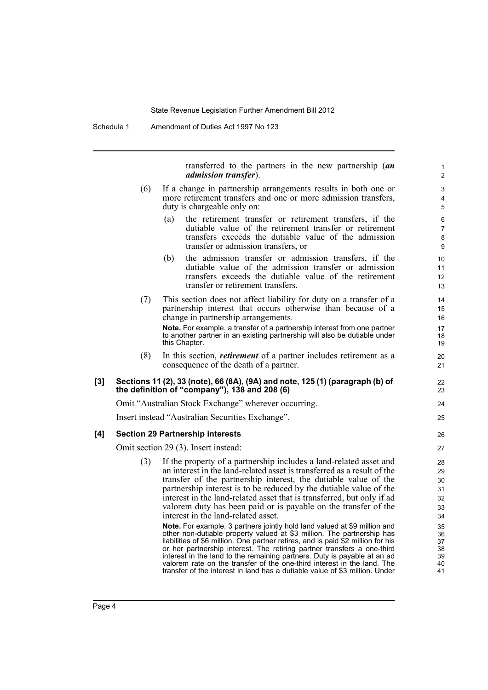Schedule 1 Amendment of Duties Act 1997 No 123

transferred to the partners in the new partnership (*an admission transfer*).

- (6) If a change in partnership arrangements results in both one or more retirement transfers and one or more admission transfers, duty is chargeable only on:
	- (a) the retirement transfer or retirement transfers, if the dutiable value of the retirement transfer or retirement transfers exceeds the dutiable value of the admission transfer or admission transfers, or
	- (b) the admission transfer or admission transfers, if the dutiable value of the admission transfer or admission transfers exceeds the dutiable value of the retirement transfer or retirement transfers.
- (7) This section does not affect liability for duty on a transfer of a partnership interest that occurs otherwise than because of a change in partnership arrangements.

**Note.** For example, a transfer of a partnership interest from one partner to another partner in an existing partnership will also be dutiable under this Chapter.

(8) In this section, *retirement* of a partner includes retirement as a consequence of the death of a partner.

#### **[3] Sections 11 (2), 33 (note), 66 (8A), (9A) and note, 125 (1) (paragraph (b) of the definition of "company"), 138 and 208 (6)**

Omit "Australian Stock Exchange" wherever occurring.

Insert instead "Australian Securities Exchange".

#### **[4] Section 29 Partnership interests**

Omit section 29 (3). Insert instead:

(3) If the property of a partnership includes a land-related asset and an interest in the land-related asset is transferred as a result of the transfer of the partnership interest, the dutiable value of the partnership interest is to be reduced by the dutiable value of the interest in the land-related asset that is transferred, but only if ad valorem duty has been paid or is payable on the transfer of the interest in the land-related asset.

**Note.** For example, 3 partners jointly hold land valued at \$9 million and other non-dutiable property valued at \$3 million. The partnership has liabilities of \$6 million. One partner retires, and is paid \$2 million for his or her partnership interest. The retiring partner transfers a one-third interest in the land to the remaining partners. Duty is payable at an ad valorem rate on the transfer of the one-third interest in the land. The transfer of the interest in land has a dutiable value of \$3 million. Under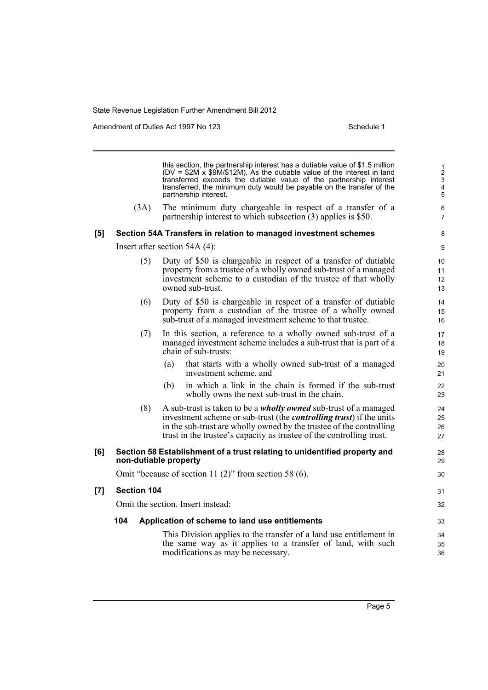Amendment of Duties Act 1997 No 123 Schedule 1

this section, the partnership interest has a dutiable value of \$1.5 million (DV = \$2M x \$9M/\$12M). As the dutiable value of the interest in land transferred exceeds the dutiable value of the partnership interest transferred, the minimum duty would be payable on the transfer of the partnership interest. (3A) The minimum duty chargeable in respect of a transfer of a partnership interest to which subsection (3) applies is \$50. **[5] Section 54A Transfers in relation to managed investment schemes** Insert after section 54A (4): (5) Duty of \$50 is chargeable in respect of a transfer of dutiable property from a trustee of a wholly owned sub-trust of a managed investment scheme to a custodian of the trustee of that wholly owned sub-trust. (6) Duty of \$50 is chargeable in respect of a transfer of dutiable property from a custodian of the trustee of a wholly owned sub-trust of a managed investment scheme to that trustee. (7) In this section, a reference to a wholly owned sub-trust of a managed investment scheme includes a sub-trust that is part of a chain of sub-trusts: (a) that starts with a wholly owned sub-trust of a managed investment scheme, and (b) in which a link in the chain is formed if the sub-trust wholly owns the next sub-trust in the chain. (8) A sub-trust is taken to be a *wholly owned* sub-trust of a managed investment scheme or sub-trust (the *controlling trust*) if the units in the sub-trust are wholly owned by the trustee of the controlling trust in the trustee's capacity as trustee of the controlling trust. **[6] Section 58 Establishment of a trust relating to unidentified property and non-dutiable property** Omit "because of section 11 (2)" from section 58 (6). **[7] Section 104** Omit the section. Insert instead: **104 Application of scheme to land use entitlements** This Division applies to the transfer of a land use entitlement in the same way as it applies to a transfer of land, with such modifications as may be necessary. 1 2 3 4 5 6 7 8 9 10 11 12 13 14 15 16 17 18 19 20 21 22 23  $24$ 25 26 27 28 29 30 31 32 33 34 35 36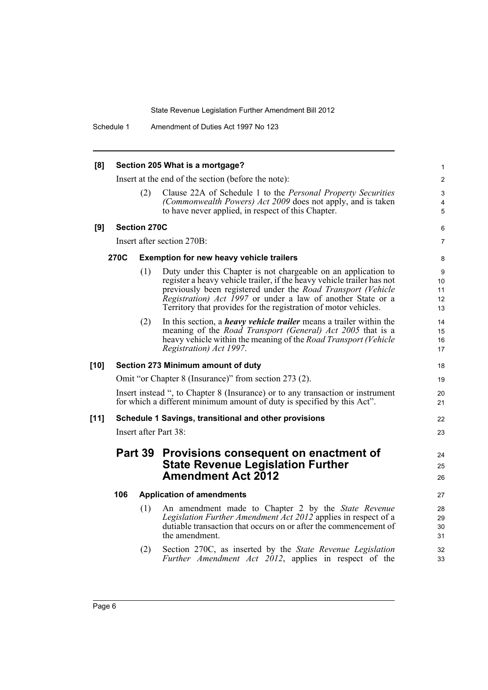Schedule 1 Amendment of Duties Act 1997 No 123

| [8]    | Section 205 What is a mortgage? |                     |                                                                                                                                                                                                                                                                                                                                                   |                           |  |  |
|--------|---------------------------------|---------------------|---------------------------------------------------------------------------------------------------------------------------------------------------------------------------------------------------------------------------------------------------------------------------------------------------------------------------------------------------|---------------------------|--|--|
|        |                                 |                     | Insert at the end of the section (before the note):                                                                                                                                                                                                                                                                                               | $\overline{2}$            |  |  |
|        |                                 | (2)                 | Clause 22A of Schedule 1 to the Personal Property Securities<br>(Commonwealth Powers) Act 2009 does not apply, and is taken                                                                                                                                                                                                                       | 3<br>4                    |  |  |
|        |                                 |                     | to have never applied, in respect of this Chapter.                                                                                                                                                                                                                                                                                                | $\overline{5}$            |  |  |
| [9]    |                                 | <b>Section 270C</b> |                                                                                                                                                                                                                                                                                                                                                   | 6                         |  |  |
|        |                                 |                     | Insert after section 270B:                                                                                                                                                                                                                                                                                                                        | $\overline{7}$            |  |  |
|        | 270C                            |                     | <b>Exemption for new heavy vehicle trailers</b>                                                                                                                                                                                                                                                                                                   | 8                         |  |  |
|        |                                 | (1)                 | Duty under this Chapter is not chargeable on an application to<br>register a heavy vehicle trailer, if the heavy vehicle trailer has not<br>previously been registered under the Road Transport (Vehicle<br><i>Registration) Act 1997</i> or under a law of another State or a<br>Territory that provides for the registration of motor vehicles. | 9<br>10<br>11<br>12<br>13 |  |  |
|        |                                 | (2)                 | In this section, a <i>heavy vehicle trailer</i> means a trailer within the<br>meaning of the <i>Road Transport (General) Act 2005</i> that is a<br>heavy vehicle within the meaning of the Road Transport (Vehicle<br>Registration) Act 1997.                                                                                                     | 14<br>15<br>16<br>17      |  |  |
| $[10]$ |                                 |                     | Section 273 Minimum amount of duty                                                                                                                                                                                                                                                                                                                | 18                        |  |  |
|        |                                 |                     | Omit "or Chapter 8 (Insurance)" from section 273 (2).                                                                                                                                                                                                                                                                                             | 19                        |  |  |
|        |                                 |                     | Insert instead ", to Chapter 8 (Insurance) or to any transaction or instrument<br>for which a different minimum amount of duty is specified by this Act".                                                                                                                                                                                         | 20<br>21                  |  |  |
| $[11]$ |                                 |                     | Schedule 1 Savings, transitional and other provisions                                                                                                                                                                                                                                                                                             | 22                        |  |  |
|        |                                 |                     | Insert after Part 38:                                                                                                                                                                                                                                                                                                                             | 23                        |  |  |
|        |                                 | Part 39             | Provisions consequent on enactment of<br><b>State Revenue Legislation Further</b><br><b>Amendment Act 2012</b>                                                                                                                                                                                                                                    | 24<br>25<br>26            |  |  |
|        | 106                             |                     | <b>Application of amendments</b>                                                                                                                                                                                                                                                                                                                  | 27                        |  |  |
|        |                                 | (1)                 | An amendment made to Chapter 2 by the State Revenue<br>Legislation Further Amendment Act 2012 applies in respect of a<br>dutiable transaction that occurs on or after the commencement of<br>the amendment.                                                                                                                                       | 28<br>29<br>30<br>31      |  |  |
|        |                                 | (2)                 | Section 270C, as inserted by the State Revenue Legislation<br>Further Amendment Act 2012, applies in respect of the                                                                                                                                                                                                                               | 32<br>33                  |  |  |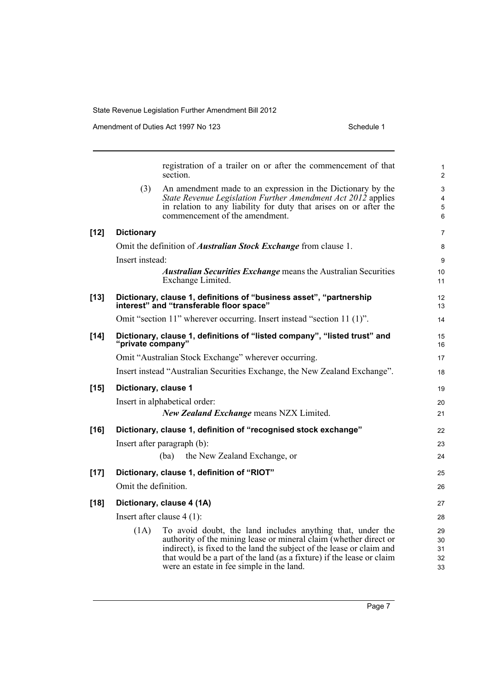Amendment of Duties Act 1997 No 123 Schedule 1

|        |                      | registration of a trailer on or after the commencement of that<br>section.                                                                                                                                                                                                                                                     | $\mathbf{1}$<br>$\overline{2}$ |
|--------|----------------------|--------------------------------------------------------------------------------------------------------------------------------------------------------------------------------------------------------------------------------------------------------------------------------------------------------------------------------|--------------------------------|
|        | (3)                  | An amendment made to an expression in the Dictionary by the<br>State Revenue Legislation Further Amendment Act 2012 applies<br>in relation to any liability for duty that arises on or after the<br>commencement of the amendment.                                                                                             | 3<br>4<br>5<br>6               |
| $[12]$ | <b>Dictionary</b>    |                                                                                                                                                                                                                                                                                                                                | $\overline{7}$                 |
|        |                      | Omit the definition of <i>Australian Stock Exchange</i> from clause 1.                                                                                                                                                                                                                                                         | 8                              |
|        | Insert instead:      |                                                                                                                                                                                                                                                                                                                                | 9                              |
|        |                      | <b>Australian Securities Exchange means the Australian Securities</b><br>Exchange Limited.                                                                                                                                                                                                                                     | 10 <sup>°</sup><br>11          |
| $[13]$ |                      | Dictionary, clause 1, definitions of "business asset", "partnership<br>interest" and "transferable floor space"                                                                                                                                                                                                                | 12<br>13                       |
|        |                      | Omit "section 11" wherever occurring. Insert instead "section 11 (1)".                                                                                                                                                                                                                                                         | 14                             |
| $[14]$ | "private company"    | Dictionary, clause 1, definitions of "listed company", "listed trust" and                                                                                                                                                                                                                                                      | 15<br>16                       |
|        |                      | Omit "Australian Stock Exchange" wherever occurring.                                                                                                                                                                                                                                                                           | 17                             |
|        |                      | Insert instead "Australian Securities Exchange, the New Zealand Exchange".                                                                                                                                                                                                                                                     | 18                             |
| $[15]$ | Dictionary, clause 1 |                                                                                                                                                                                                                                                                                                                                | 19                             |
|        |                      | Insert in alphabetical order:                                                                                                                                                                                                                                                                                                  | 20                             |
|        |                      | <b>New Zealand Exchange means NZX Limited.</b>                                                                                                                                                                                                                                                                                 | 21                             |
| [16]   |                      | Dictionary, clause 1, definition of "recognised stock exchange"                                                                                                                                                                                                                                                                | 22                             |
|        |                      | Insert after paragraph (b):                                                                                                                                                                                                                                                                                                    | 23                             |
|        |                      | the New Zealand Exchange, or<br>(ba)                                                                                                                                                                                                                                                                                           | 24                             |
| $[17]$ |                      | Dictionary, clause 1, definition of "RIOT"                                                                                                                                                                                                                                                                                     | 25                             |
|        | Omit the definition. |                                                                                                                                                                                                                                                                                                                                | 26                             |
| $[18]$ |                      | Dictionary, clause 4 (1A)                                                                                                                                                                                                                                                                                                      | 27                             |
|        |                      | Insert after clause $4(1)$ :                                                                                                                                                                                                                                                                                                   | 28                             |
|        | (1A)                 | To avoid doubt, the land includes anything that, under the<br>authority of the mining lease or mineral claim (whether direct or<br>indirect), is fixed to the land the subject of the lease or claim and<br>that would be a part of the land (as a fixture) if the lease or claim<br>were an estate in fee simple in the land. | 29<br>30<br>31<br>32<br>33     |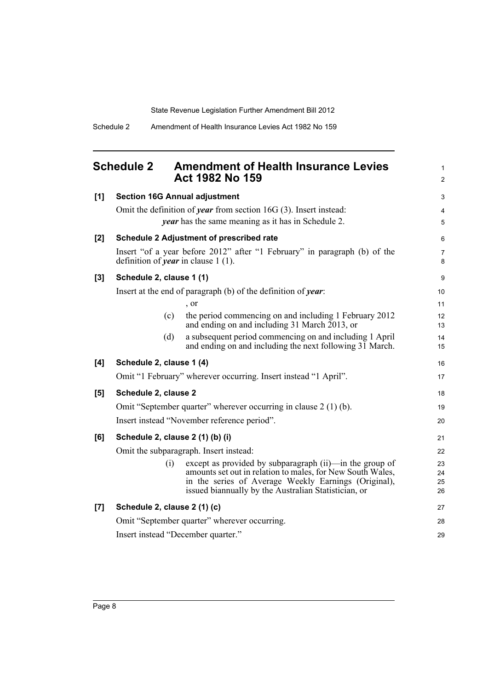<span id="page-15-0"></span>

| <b>Schedule 2</b> | <b>Amendment of Health Insurance Levies</b> |
|-------------------|---------------------------------------------|
|                   | Act 1982 No 159                             |

1 2

| [1]   | <b>Section 16G Annual adjustment</b>       |                                                                                                                                                                                                                                       | 3                    |
|-------|--------------------------------------------|---------------------------------------------------------------------------------------------------------------------------------------------------------------------------------------------------------------------------------------|----------------------|
|       |                                            | Omit the definition of <i>year</i> from section 16G $(3)$ . Insert instead:                                                                                                                                                           | 4                    |
|       |                                            | <i>year</i> has the same meaning as it has in Schedule 2.                                                                                                                                                                             | 5                    |
| [2]   |                                            | <b>Schedule 2 Adjustment of prescribed rate</b>                                                                                                                                                                                       | 6                    |
|       | definition of <i>year</i> in clause 1 (1). | Insert "of a year before 2012" after "1 February" in paragraph (b) of the                                                                                                                                                             | $\overline{7}$<br>8  |
| $[3]$ | Schedule 2, clause 1 (1)                   |                                                                                                                                                                                                                                       | 9                    |
|       |                                            | Insert at the end of paragraph (b) of the definition of year:                                                                                                                                                                         | 10                   |
|       |                                            | $\cdot$ or                                                                                                                                                                                                                            | 11                   |
|       | (c)                                        | the period commencing on and including 1 February 2012<br>and ending on and including 31 March 2013, or                                                                                                                               | 12<br>13             |
|       | (d)                                        | a subsequent period commencing on and including 1 April<br>and ending on and including the next following 31 March.                                                                                                                   | 14<br>15             |
| [4]   | Schedule 2, clause 1 (4)                   |                                                                                                                                                                                                                                       | 16                   |
|       |                                            | Omit "1 February" wherever occurring. Insert instead "1 April".                                                                                                                                                                       | 17                   |
| [5]   | Schedule 2, clause 2                       |                                                                                                                                                                                                                                       | 18                   |
|       |                                            | Omit "September quarter" wherever occurring in clause 2 (1) (b).                                                                                                                                                                      | 19                   |
|       |                                            | Insert instead "November reference period".                                                                                                                                                                                           | 20                   |
| [6]   | Schedule 2, clause 2 (1) (b) (i)           |                                                                                                                                                                                                                                       | 21                   |
|       |                                            | Omit the subparagraph. Insert instead:                                                                                                                                                                                                | 22                   |
|       | (i)                                        | except as provided by subparagraph (ii)—in the group of<br>amounts set out in relation to males, for New South Wales,<br>in the series of Average Weekly Earnings (Original),<br>issued biannually by the Australian Statistician, or | 23<br>24<br>25<br>26 |
| [7]   | Schedule 2, clause 2 (1) (c)               |                                                                                                                                                                                                                                       | 27                   |
|       |                                            | Omit "September quarter" wherever occurring.                                                                                                                                                                                          | 28                   |
|       | Insert instead "December quarter."         |                                                                                                                                                                                                                                       | 29                   |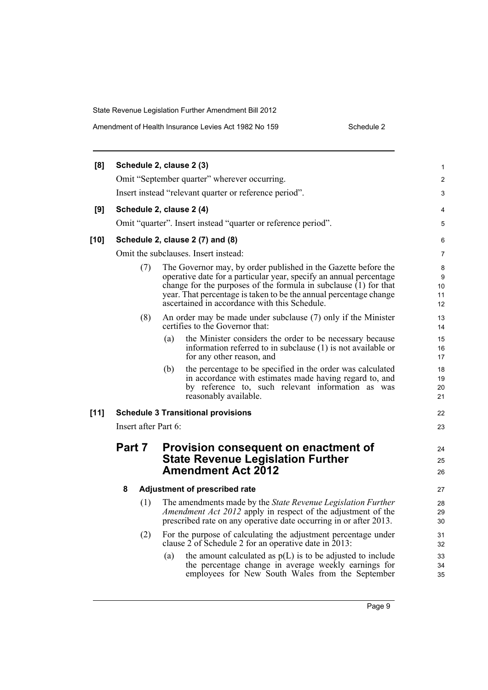State Revenue Legislation Further Amendment Bill 2012 Amendment of Health Insurance Levies Act 1982 No 159

| Schedule 2 |  |  |
|------------|--|--|
|            |  |  |
|            |  |  |

| [8]    |                      |     | Schedule 2, clause 2 (3)                                                                                                                                                                                                                                                                                                         | $\mathbf{1}$             |  |
|--------|----------------------|-----|----------------------------------------------------------------------------------------------------------------------------------------------------------------------------------------------------------------------------------------------------------------------------------------------------------------------------------|--------------------------|--|
|        |                      |     | Omit "September quarter" wherever occurring.                                                                                                                                                                                                                                                                                     | 2                        |  |
|        |                      |     | Insert instead "relevant quarter or reference period".                                                                                                                                                                                                                                                                           | 3                        |  |
| [9]    |                      |     | Schedule 2, clause 2 (4)                                                                                                                                                                                                                                                                                                         | 4                        |  |
|        |                      |     | Omit "quarter". Insert instead "quarter or reference period".                                                                                                                                                                                                                                                                    | 5                        |  |
| $[10]$ |                      |     | Schedule 2, clause 2 (7) and (8)                                                                                                                                                                                                                                                                                                 | 6                        |  |
|        |                      |     | Omit the subclauses. Insert instead:                                                                                                                                                                                                                                                                                             | 7                        |  |
|        |                      | (7) | The Governor may, by order published in the Gazette before the<br>operative date for a particular year, specify an annual percentage<br>change for the purposes of the formula in subclause $(1)$ for that<br>year. That percentage is taken to be the annual percentage change<br>ascertained in accordance with this Schedule. | 8<br>9<br>10<br>11<br>12 |  |
|        |                      | (8) | An order may be made under subclause (7) only if the Minister<br>certifies to the Governor that:                                                                                                                                                                                                                                 | 13<br>14                 |  |
|        |                      |     | (a)<br>the Minister considers the order to be necessary because<br>information referred to in subclause (1) is not available or<br>for any other reason, and                                                                                                                                                                     | 15<br>16<br>17           |  |
|        |                      |     | the percentage to be specified in the order was calculated<br>(b)<br>in accordance with estimates made having regard to, and<br>by reference to, such relevant information as was<br>reasonably available.                                                                                                                       | 18<br>19<br>20<br>21     |  |
| $[11]$ |                      |     | <b>Schedule 3 Transitional provisions</b>                                                                                                                                                                                                                                                                                        | 22                       |  |
|        | Insert after Part 6: |     |                                                                                                                                                                                                                                                                                                                                  |                          |  |
|        | Part 7               |     | Provision consequent on enactment of<br><b>State Revenue Legislation Further</b>                                                                                                                                                                                                                                                 | 24<br>25                 |  |
|        |                      |     | <b>Amendment Act 2012</b>                                                                                                                                                                                                                                                                                                        | 26                       |  |
|        | 8                    |     | <b>Adjustment of prescribed rate</b>                                                                                                                                                                                                                                                                                             | 27                       |  |
|        |                      | (1) | The amendments made by the State Revenue Legislation Further<br><i>Amendment Act 2012</i> apply in respect of the adjustment of the<br>prescribed rate on any operative date occurring in or after 2013.                                                                                                                         | 28<br>29<br>30           |  |
|        |                      | (2) | For the purpose of calculating the adjustment percentage under<br>clause 2 of Schedule 2 for an operative date in 2013:                                                                                                                                                                                                          | 31<br>32                 |  |
|        |                      |     | the amount calculated as $p(L)$ is to be adjusted to include<br>(a)<br>the percentage change in average weekly earnings for<br>employees for New South Wales from the September                                                                                                                                                  | 33<br>34<br>35           |  |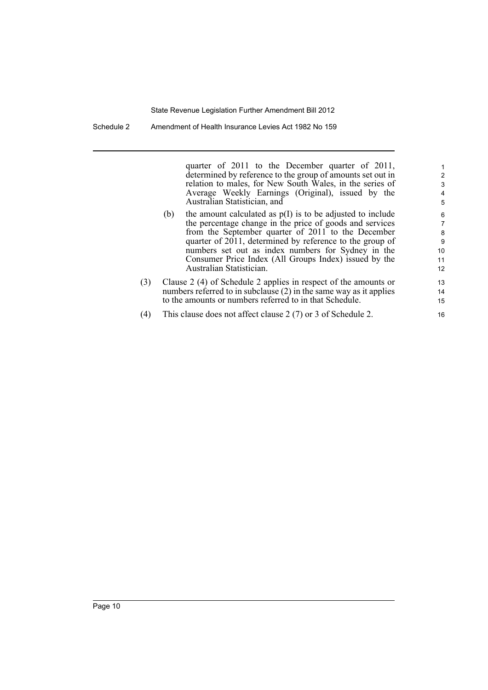quarter of 2011 to the December quarter of 2011, determined by reference to the group of amounts set out in relation to males, for New South Wales, in the series of Average Weekly Earnings (Original), issued by the Australian Statistician, and

- (b) the amount calculated as p(I) is to be adjusted to include the percentage change in the price of goods and services from the September quarter of 2011 to the December quarter of 2011, determined by reference to the group of numbers set out as index numbers for Sydney in the Consumer Price Index (All Groups Index) issued by the Australian Statistician.
- (3) Clause 2 (4) of Schedule 2 applies in respect of the amounts or numbers referred to in subclause (2) in the same way as it applies to the amounts or numbers referred to in that Schedule.
- (4) This clause does not affect clause 2 (7) or 3 of Schedule 2.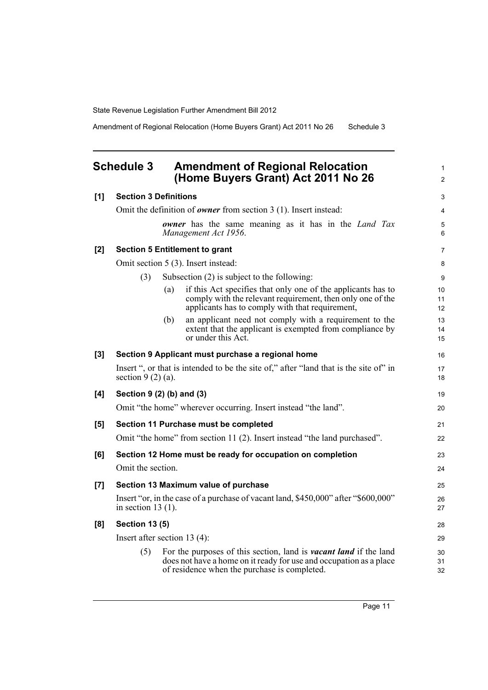Amendment of Regional Relocation (Home Buyers Grant) Act 2011 No 26 Schedule 3

<span id="page-18-0"></span>

| <b>Schedule 3</b> |                       | <b>Amendment of Regional Relocation</b><br>(Home Buyers Grant) Act 2011 No 26                                                                                                                  | $\mathbf{1}$<br>$\overline{2}$ |
|-------------------|-----------------------|------------------------------------------------------------------------------------------------------------------------------------------------------------------------------------------------|--------------------------------|
| [1]               |                       | <b>Section 3 Definitions</b>                                                                                                                                                                   | 3                              |
|                   |                       | Omit the definition of <b>owner</b> from section $3(1)$ . Insert instead:                                                                                                                      | 4                              |
|                   |                       | <b><i>owner</i></b> has the same meaning as it has in the <i>Land Tax</i><br>Management Act 1956.                                                                                              | 5<br>6                         |
| $[2]$             |                       | <b>Section 5 Entitlement to grant</b>                                                                                                                                                          | $\overline{7}$                 |
|                   |                       | Omit section 5 (3). Insert instead:                                                                                                                                                            | 8                              |
|                   | (3)                   | Subsection $(2)$ is subject to the following:                                                                                                                                                  | 9                              |
|                   |                       | if this Act specifies that only one of the applicants has to<br>(a)<br>comply with the relevant requirement, then only one of the<br>applicants has to comply with that requirement,           | 10<br>11<br>12                 |
|                   |                       | an applicant need not comply with a requirement to the<br>(b)<br>extent that the applicant is exempted from compliance by<br>or under this Act.                                                | 13<br>14<br>15                 |
| [3]               |                       | Section 9 Applicant must purchase a regional home                                                                                                                                              | 16                             |
|                   | section $9(2)(a)$ .   | Insert ", or that is intended to be the site of," after "land that is the site of" in                                                                                                          | 17<br>18                       |
| [4]               |                       | Section 9 (2) (b) and (3)                                                                                                                                                                      | 19                             |
|                   |                       | Omit "the home" wherever occurring. Insert instead "the land".                                                                                                                                 | 20                             |
| [5]               |                       | Section 11 Purchase must be completed                                                                                                                                                          | 21                             |
|                   |                       | Omit "the home" from section 11 (2). Insert instead "the land purchased".                                                                                                                      | 22                             |
| [6]               |                       | Section 12 Home must be ready for occupation on completion                                                                                                                                     | 23                             |
|                   | Omit the section.     |                                                                                                                                                                                                | 24                             |
| [7]               |                       | Section 13 Maximum value of purchase                                                                                                                                                           | 25                             |
|                   | in section 13 $(1)$ . | Insert "or, in the case of a purchase of vacant land, \$450,000" after "\$600,000"                                                                                                             | 26<br>27                       |
| [8]               | <b>Section 13 (5)</b> |                                                                                                                                                                                                | 28                             |
|                   |                       | Insert after section $13(4)$ :                                                                                                                                                                 | 29                             |
|                   | (5)                   | For the purposes of this section, land is <i>vacant land</i> if the land<br>does not have a home on it ready for use and occupation as a place<br>of residence when the purchase is completed. | 30<br>31<br>32                 |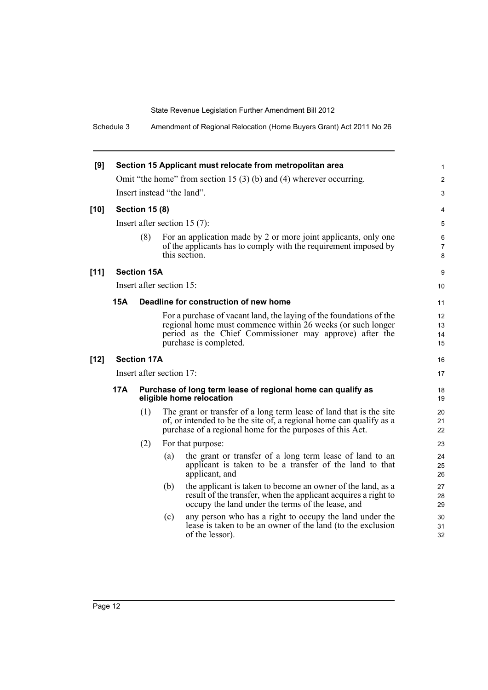Schedule 3 Amendment of Regional Relocation (Home Buyers Grant) Act 2011 No 26

| [9]    |            |                       | Section 15 Applicant must relocate from metropolitan area                                                                                                                                                               | 1                        |
|--------|------------|-----------------------|-------------------------------------------------------------------------------------------------------------------------------------------------------------------------------------------------------------------------|--------------------------|
|        |            |                       | Omit "the home" from section 15 (3) (b) and (4) wherever occurring.                                                                                                                                                     | $\overline{2}$           |
|        |            |                       | Insert instead "the land".                                                                                                                                                                                              | 3                        |
| $[10]$ |            | <b>Section 15 (8)</b> |                                                                                                                                                                                                                         | 4                        |
|        |            |                       | Insert after section $15(7)$ :                                                                                                                                                                                          | 5                        |
|        |            | (8)                   | For an application made by 2 or more joint applicants, only one<br>of the applicants has to comply with the requirement imposed by<br>this section.                                                                     | 6<br>$\overline{7}$<br>8 |
| [11]   |            | <b>Section 15A</b>    |                                                                                                                                                                                                                         | 9                        |
|        |            |                       | Insert after section 15:                                                                                                                                                                                                | 10                       |
|        | <b>15A</b> |                       | Deadline for construction of new home                                                                                                                                                                                   | 11                       |
|        |            |                       | For a purchase of vacant land, the laying of the foundations of the<br>regional home must commence within 26 weeks (or such longer<br>period as the Chief Commissioner may approve) after the<br>purchase is completed. | 12<br>13<br>14<br>15     |
| $[12]$ |            | <b>Section 17A</b>    |                                                                                                                                                                                                                         | 16                       |
|        |            |                       | Insert after section 17:                                                                                                                                                                                                | 17                       |
|        | 17A        |                       | Purchase of long term lease of regional home can qualify as<br>eligible home relocation                                                                                                                                 | 18<br>19                 |
|        |            | (1)                   | The grant or transfer of a long term lease of land that is the site<br>of, or intended to be the site of, a regional home can qualify as a<br>purchase of a regional home for the purposes of this Act.                 | 20<br>21<br>22           |
|        |            | (2)                   | For that purpose:                                                                                                                                                                                                       | 23                       |
|        |            |                       | the grant or transfer of a long term lease of land to an<br>(a)<br>applicant is taken to be a transfer of the land to that<br>applicant, and                                                                            | 24<br>25<br>26           |
|        |            |                       | the applicant is taken to become an owner of the land, as a<br>(b)<br>result of the transfer, when the applicant acquires a right to<br>occupy the land under the terms of the lease, and                               | 27<br>28<br>29           |
|        |            |                       | any person who has a right to occupy the land under the<br>(c)<br>lease is taken to be an owner of the land (to the exclusion<br>of the lessor).                                                                        | 30<br>31<br>32           |
|        |            |                       |                                                                                                                                                                                                                         |                          |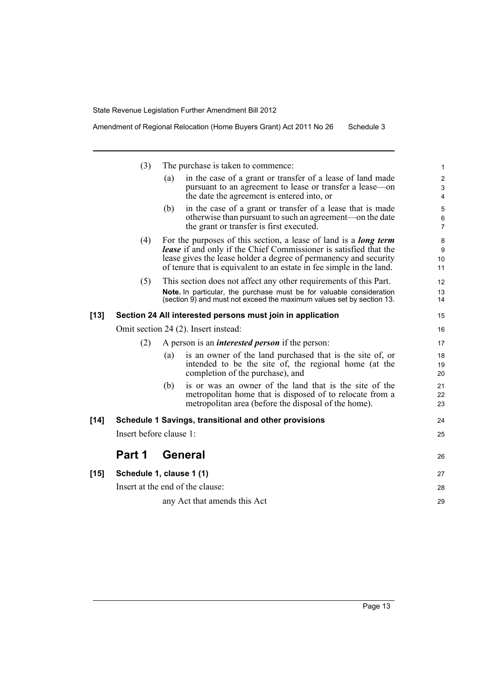|      | (3)                     |                                      | The purchase is taken to commence:                                                                                                                                                                                                                                                              | $\mathbf{1}$                                    |
|------|-------------------------|--------------------------------------|-------------------------------------------------------------------------------------------------------------------------------------------------------------------------------------------------------------------------------------------------------------------------------------------------|-------------------------------------------------|
|      |                         | (a)                                  | in the case of a grant or transfer of a lease of land made<br>pursuant to an agreement to lease or transfer a lease—on<br>the date the agreement is entered into, or                                                                                                                            | $\overline{2}$<br>$\mathsf 3$<br>$\overline{4}$ |
|      |                         | (b)                                  | in the case of a grant or transfer of a lease that is made<br>otherwise than pursuant to such an agreement—on the date<br>the grant or transfer is first executed.                                                                                                                              | 5<br>6<br>$\overline{7}$                        |
|      | (4)                     |                                      | For the purposes of this section, a lease of land is a <b>long term</b><br><b>lease</b> if and only if the Chief Commissioner is satisfied that the<br>lease gives the lease holder a degree of permanency and security<br>of tenure that is equivalent to an estate in fee simple in the land. | 8<br>9<br>10<br>11                              |
|      | (5)                     |                                      | This section does not affect any other requirements of this Part.<br>Note. In particular, the purchase must be for valuable consideration<br>(section 9) and must not exceed the maximum values set by section 13.                                                                              | 12<br>13<br>14                                  |
| [13] |                         |                                      | Section 24 All interested persons must join in application                                                                                                                                                                                                                                      | 15                                              |
|      |                         | Omit section 24 (2). Insert instead: |                                                                                                                                                                                                                                                                                                 | 16                                              |
|      | (2)                     |                                      | A person is an <i>interested person</i> if the person:                                                                                                                                                                                                                                          | 17                                              |
|      |                         | (a)                                  | is an owner of the land purchased that is the site of, or<br>intended to be the site of, the regional home (at the<br>completion of the purchase), and                                                                                                                                          | 18<br>19<br>20                                  |
|      |                         | (b)                                  | is or was an owner of the land that is the site of the<br>metropolitan home that is disposed of to relocate from a<br>metropolitan area (before the disposal of the home).                                                                                                                      | 21<br>22<br>23                                  |
| [14] |                         |                                      | Schedule 1 Savings, transitional and other provisions                                                                                                                                                                                                                                           | 24                                              |
|      | Insert before clause 1: |                                      |                                                                                                                                                                                                                                                                                                 | 25                                              |
|      | Part 1                  | General                              |                                                                                                                                                                                                                                                                                                 | 26                                              |
| [15] |                         | Schedule 1, clause 1 (1)             |                                                                                                                                                                                                                                                                                                 | 27                                              |
|      |                         | Insert at the end of the clause:     |                                                                                                                                                                                                                                                                                                 | 28                                              |
|      |                         |                                      | any Act that amends this Act                                                                                                                                                                                                                                                                    | 29                                              |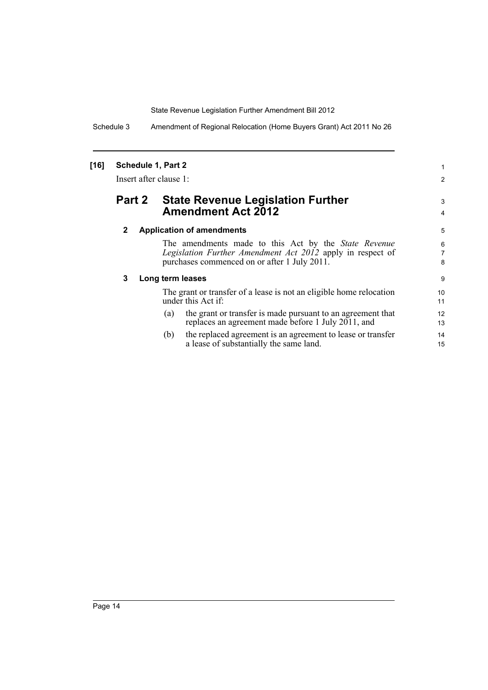Schedule 3 Amendment of Regional Relocation (Home Buyers Grant) Act 2011 No 26

### **[16] Schedule 1, Part 2**

Insert after clause 1:

## **Part 2 State Revenue Legislation Further Amendment Act 2012**

#### **2 Application of amendments**

The amendments made to this Act by the *State Revenue Legislation Further Amendment Act 2012* apply in respect of purchases commenced on or after 1 July 2011.

1 2

3 4

#### **3 Long term leases**

The grant or transfer of a lease is not an eligible home relocation under this Act if:

- (a) the grant or transfer is made pursuant to an agreement that replaces an agreement made before 1 July 2011, and
- (b) the replaced agreement is an agreement to lease or transfer a lease of substantially the same land.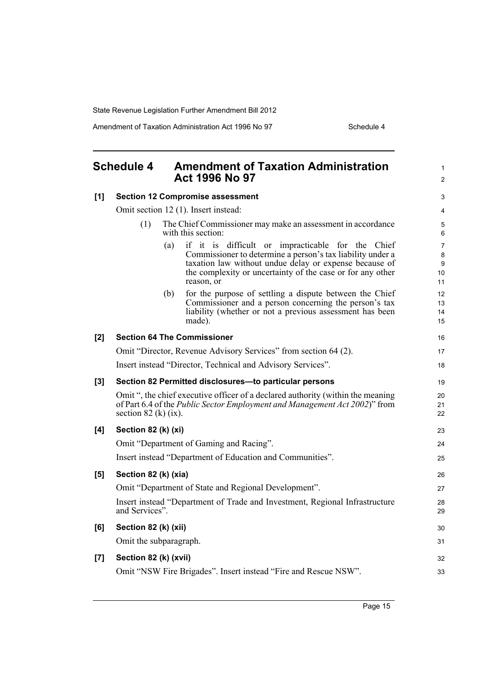Amendment of Taxation Administration Act 1996 No 97 Schedule 4

<span id="page-22-0"></span>

|       | <b>Schedule 4</b>                                                                                                                                                                                |                                                                                   | <b>Amendment of Taxation Administration</b><br><b>Act 1996 No 97</b>                                                                                                                                                                                  | 1<br>$\overline{c}$     |  |
|-------|--------------------------------------------------------------------------------------------------------------------------------------------------------------------------------------------------|-----------------------------------------------------------------------------------|-------------------------------------------------------------------------------------------------------------------------------------------------------------------------------------------------------------------------------------------------------|-------------------------|--|
| [1]   | <b>Section 12 Compromise assessment</b><br>Omit section 12 (1). Insert instead:                                                                                                                  |                                                                                   |                                                                                                                                                                                                                                                       | 3                       |  |
|       |                                                                                                                                                                                                  |                                                                                   |                                                                                                                                                                                                                                                       | 4                       |  |
|       | (1)                                                                                                                                                                                              | The Chief Commissioner may make an assessment in accordance<br>with this section: |                                                                                                                                                                                                                                                       | 5<br>6                  |  |
|       |                                                                                                                                                                                                  | (a)                                                                               | if it is difficult or impracticable for the Chief<br>Commissioner to determine a person's tax liability under a<br>taxation law without undue delay or expense because of<br>the complexity or uncertainty of the case or for any other<br>reason, or | 7<br>8<br>9<br>10<br>11 |  |
|       |                                                                                                                                                                                                  | (b)                                                                               | for the purpose of settling a dispute between the Chief<br>Commissioner and a person concerning the person's tax<br>liability (whether or not a previous assessment has been<br>made).                                                                | 12<br>13<br>14<br>15    |  |
| [2]   | <b>Section 64 The Commissioner</b>                                                                                                                                                               |                                                                                   |                                                                                                                                                                                                                                                       | 16                      |  |
|       | Omit "Director, Revenue Advisory Services" from section 64 (2).                                                                                                                                  |                                                                                   |                                                                                                                                                                                                                                                       | 17                      |  |
|       | Insert instead "Director, Technical and Advisory Services".                                                                                                                                      |                                                                                   |                                                                                                                                                                                                                                                       |                         |  |
| $[3]$ | Section 82 Permitted disclosures-to particular persons                                                                                                                                           |                                                                                   |                                                                                                                                                                                                                                                       |                         |  |
|       | Omit ", the chief executive officer of a declared authority (within the meaning<br>of Part 6.4 of the <i>Public Sector Employment and Management Act 2002</i> )" from<br>section 82 (k) $(ix)$ . |                                                                                   |                                                                                                                                                                                                                                                       | 20<br>21<br>22          |  |
| [4]   | Section 82 (k) (xi)                                                                                                                                                                              |                                                                                   |                                                                                                                                                                                                                                                       | 23                      |  |
|       | Omit "Department of Gaming and Racing".                                                                                                                                                          |                                                                                   |                                                                                                                                                                                                                                                       |                         |  |
|       | Insert instead "Department of Education and Communities".                                                                                                                                        |                                                                                   |                                                                                                                                                                                                                                                       |                         |  |
| [5]   | Section 82 (k) (xia)                                                                                                                                                                             |                                                                                   |                                                                                                                                                                                                                                                       |                         |  |
|       | Omit "Department of State and Regional Development".                                                                                                                                             |                                                                                   |                                                                                                                                                                                                                                                       |                         |  |
|       | Insert instead "Department of Trade and Investment, Regional Infrastructure<br>and Services".                                                                                                    |                                                                                   |                                                                                                                                                                                                                                                       |                         |  |
| [6]   | Section 82 (k) (xii)                                                                                                                                                                             |                                                                                   |                                                                                                                                                                                                                                                       |                         |  |
|       | Omit the subparagraph.                                                                                                                                                                           |                                                                                   |                                                                                                                                                                                                                                                       |                         |  |
| $[7]$ | Section 82 (k) (xvii)                                                                                                                                                                            |                                                                                   |                                                                                                                                                                                                                                                       | 32                      |  |
|       | Omit "NSW Fire Brigades". Insert instead "Fire and Rescue NSW".                                                                                                                                  |                                                                                   |                                                                                                                                                                                                                                                       |                         |  |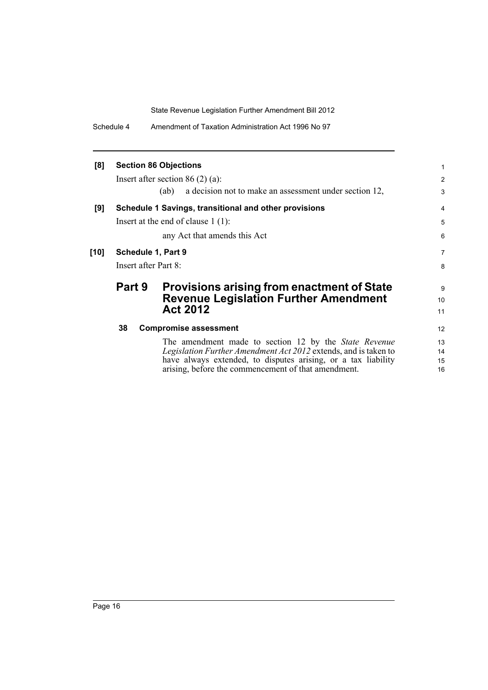Schedule 4 Amendment of Taxation Administration Act 1996 No 97

| <b>Section 86 Objections</b>                          |                                                                                                                                                                                                  |                                                                                                                                                                                                                                                                           |  |  |
|-------------------------------------------------------|--------------------------------------------------------------------------------------------------------------------------------------------------------------------------------------------------|---------------------------------------------------------------------------------------------------------------------------------------------------------------------------------------------------------------------------------------------------------------------------|--|--|
|                                                       |                                                                                                                                                                                                  | 2                                                                                                                                                                                                                                                                         |  |  |
|                                                       | a decision not to make an assessment under section 12,<br>(ab)                                                                                                                                   | 3                                                                                                                                                                                                                                                                         |  |  |
| Schedule 1 Savings, transitional and other provisions |                                                                                                                                                                                                  |                                                                                                                                                                                                                                                                           |  |  |
|                                                       |                                                                                                                                                                                                  | 5                                                                                                                                                                                                                                                                         |  |  |
|                                                       | any Act that amends this Act                                                                                                                                                                     | 6                                                                                                                                                                                                                                                                         |  |  |
| Schedule 1, Part 9                                    |                                                                                                                                                                                                  |                                                                                                                                                                                                                                                                           |  |  |
| Insert after Part 8:                                  |                                                                                                                                                                                                  |                                                                                                                                                                                                                                                                           |  |  |
|                                                       |                                                                                                                                                                                                  | 9                                                                                                                                                                                                                                                                         |  |  |
|                                                       |                                                                                                                                                                                                  | 10                                                                                                                                                                                                                                                                        |  |  |
|                                                       | <b>Act 2012</b>                                                                                                                                                                                  | 11                                                                                                                                                                                                                                                                        |  |  |
| 38                                                    |                                                                                                                                                                                                  | 12                                                                                                                                                                                                                                                                        |  |  |
|                                                       | The amendment made to section 12 by the <i>State Revenue</i><br>Legislation Further Amendment Act 2012 extends, and is taken to<br>have always extended, to disputes arising, or a tax liability | 13<br>14<br>15<br>16                                                                                                                                                                                                                                                      |  |  |
|                                                       | <b>Part 9</b>                                                                                                                                                                                    | Insert after section 86 $(2)$ $(a)$ :<br>Insert at the end of clause $1(1)$ :<br><b>Provisions arising from enactment of State</b><br><b>Revenue Legislation Further Amendment</b><br><b>Compromise assessment</b><br>arising, before the commencement of that amendment. |  |  |